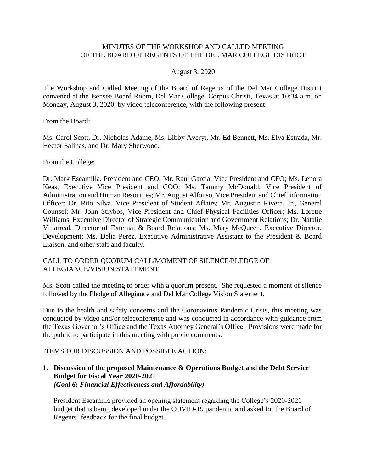# MINUTES OF THE WORKSHOP AND CALLED MEETING OF THE BOARD OF REGENTS OF THE DEL MAR COLLEGE DISTRICT

#### August 3, 2020

 The Workshop and Called Meeting of the Board of Regents of the Del Mar College District convened at the Isensee Board Room, Del Mar College, Corpus Christi, Texas at 10:34 a.m. on Monday, August 3, 2020, by video teleconference, with the following present:

From the Board:

Ms. Carol Scott, Dr. Nicholas Adame, Ms. Libby Averyt, Mr. Ed Bennett, Ms. Elva Estrada, Mr. Hector Salinas, and Dr. Mary Sherwood.

From the College:

 Dr. Mark Escamilla, President and CEO; Mr. Raul Garcia, Vice President and CFO; Ms. Lenora Keas, Executive Vice President and COO; Ms. Tammy McDonald, Vice President of Counsel; Mr. John Strybos, Vice President and Chief Physical Facilities Officer; Ms. Lorette Development; Ms. Delia Perez, Executive Administrative Assistant to the President & Board Administration and Human Resources; Mr. August Alfonso, Vice President and Chief Information Officer; Dr. Rito Silva, Vice President of Student Affairs; Mr. Augustin Rivera, Jr., General Williams, Executive Director of Strategic Communication and Government Relations; Dr. Natalie Villarreal, Director of External & Board Relations; Ms. Mary McQueen, Executive Director, Liaison, and other staff and faculty.

## CALL TO ORDER QUORUM CALL/MOMENT OF SILENCE/PLEDGE OF ALLEGIANCE/VISION STATEMENT

 Ms. Scott called the meeting to order with a quorum present. She requested a moment of silence followed by the Pledge of Allegiance and Del Mar College Vision Statement.

 Due to the health and safety concerns and the Coronavirus Pandemic Crisis, this meeting was conducted by video and/or teleconference and was conducted in accordance with guidance from the Texas Governor's Office and the Texas Attorney General's Office. Provisions were made for the public to participate in this meeting with public comments.

### ITEMS FOR DISCUSSION AND POSSIBLE ACTION:

**1. Discussion of the proposed Maintenance & Operations Budget and the Debt Service Budget for Fiscal Year 2020-2021**  *(Goal 6: Financial Effectiveness and Affordability)* 

President Escamilla provided an opening statement regarding the College's 2020-2021 budget that is being developed under the COVID-19 pandemic and asked for the Board of Regents' feedback for the final budget.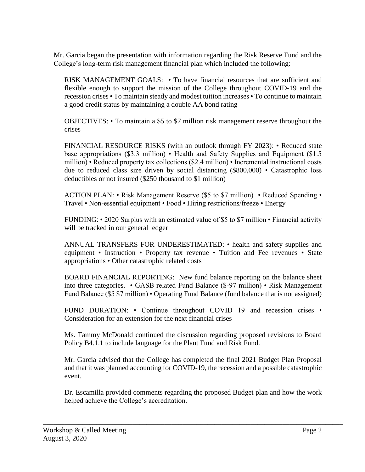Mr. Garcia began the presentation with information regarding the Risk Reserve Fund and the College's long-term risk management financial plan which included the following:

 RISK MANAGEMENT GOALS: • To have financial resources that are sufficient and recession crises • To maintain steady and modest tuition increases • To continue to maintain flexible enough to support the mission of the College throughout COVID-19 and the a good credit status by maintaining a double AA bond rating

OBJECTIVES: • To maintain a \$5 to \$7 million risk management reserve throughout the crises

 FINANCIAL RESOURCE RISKS (with an outlook through FY 2023): • Reduced state base appropriations (\$3.3 million) • Health and Safety Supplies and Equipment (\$1.5 million) • Reduced property tax collections (\$2.4 million) • Incremental instructional costs due to reduced class size driven by social distancing (\$800,000) • Catastrophic loss deductibles or not insured (\$250 thousand to \$1 million)

 ACTION PLAN: • Risk Management Reserve (\$5 to \$7 million) • Reduced Spending • Travel • Non-essential equipment • Food • Hiring restrictions/freeze • Energy

 FUNDING: • 2020 Surplus with an estimated value of \$5 to \$7 million • Financial activity will be tracked in our general ledger

 equipment • Instruction • Property tax revenue • Tuition and Fee revenues • State ANNUAL TRANSFERS FOR UNDERESTIMATED: • health and safety supplies and appropriations • Other catastrophic related costs

 BOARD FINANCIAL REPORTING: New fund balance reporting on the balance sheet into three categories. • GASB related Fund Balance (\$-97 million) • Risk Management Fund Balance (\$5 \$7 million) • Operating Fund Balance (fund balance that is not assigned)

FUND DURATION: • Continue throughout COVID 19 and recession crises • Consideration for an extension for the next financial crises

 Ms. Tammy McDonald continued the discussion regarding proposed revisions to Board Policy B4.1.1 to include language for the Plant Fund and Risk Fund.

 and that it was planned accounting for COVID-19, the recession and a possible catastrophic Mr. Garcia advised that the College has completed the final 2021 Budget Plan Proposal event.

Dr. Escamilla provided comments regarding the proposed Budget plan and how the work helped achieve the College's accreditation.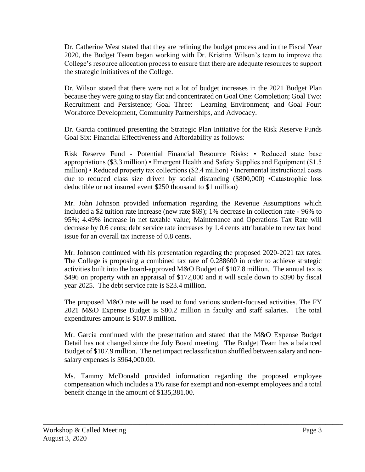Dr. Catherine West stated that they are refining the budget process and in the Fiscal Year 2020, the Budget Team began working with Dr. Kristina Wilson's team to improve the College's resource allocation process to ensure that there are adequate resources to support the strategic initiatives of the College.

 Dr. Wilson stated that there were not a lot of budget increases in the 2021 Budget Plan because they were going to stay flat and concentrated on Goal One: Completion; Goal Two: Recruitment and Persistence; Goal Three: Learning Environment; and Goal Four: Workforce Development, Community Partnerships, and Advocacy.

 Dr. Garcia continued presenting the Strategic Plan Initiative for the Risk Reserve Funds Goal Six: Financial Effectiveness and Affordability as follows:

 Risk Reserve Fund - Potential Financial Resource Risks: • Reduced state base million) • Reduced property tax collections (\$2.4 million) • Incremental instructional costs due to reduced class size driven by social distancing (\$800,000) •Catastrophic loss appropriations (\$3.3 million) • Emergent Health and Safety Supplies and Equipment (\$1.5 deductible or not insured event \$250 thousand to \$1 million)

 included a \$2 tuition rate increase (new rate \$69); 1% decrease in collection rate - 96% to 95%; 4.49% increase in net taxable value; Maintenance and Operations Tax Rate will Mr. John Johnson provided information regarding the Revenue Assumptions which decrease by 0.6 cents; debt service rate increases by 1.4 cents attributable to new tax bond issue for an overall tax increase of 0.8 cents.

 Mr. Johnson continued with his presentation regarding the proposed 2020-2021 tax rates. The College is proposing a combined tax rate of 0.288600 in order to achieve strategic activities built into the board-approved M&O Budget of \$107.8 million. The annual tax is \$496 on property with an appraisal of \$172,000 and it will scale down to \$390 by fiscal year 2025. The debt service rate is \$23.4 million.

 The proposed M&O rate will be used to fund various student-focused activities. The FY 2021 M&O Expense Budget is \$80.2 million in faculty and staff salaries. The total expenditures amount is \$107.8 million.

 Mr. Garcia continued with the presentation and stated that the M&O Expense Budget Detail has not changed since the July Board meeting. The Budget Team has a balanced Budget of \$107.9 million. The net impact reclassification shuffled between salary and nonsalary expenses is \$[964,000.00](https://964,000.00).

 compensation which includes a 1% raise for exempt and non-exempt employees and a total Ms. Tammy McDonald provided information regarding the proposed employee benefit change in the amount of [\\$135,381.00](https://135,381.00).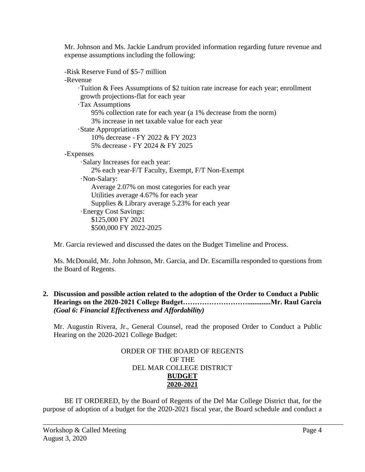Mr. Johnson and Ms. Jackie Landrum provided information regarding future revenue and expense assumptions including the following: -Risk Reserve Fund of \$5-7 million

-Revenue

·Tuition & Fees Assumptions of \$2 tuition rate increase for each year; enrollment growth projections-flat for each year

·Tax Assumptions

95% collection rate for each year (a 1% decrease from the norm) 3% increase in net taxable value for each year

·State Appropriations

10% decrease - FY 2022 & FY 2023

5% decrease - FY 2024 & FY 2025

-Expenses

·Salary Increases for each year:

2% each year-F/T Faculty, Exempt, F/T Non-Exempt

·Non-Salary:

Average 2.07% on most categories for each year Utilities average 4.67% for each year

Supplies & Library average 5.23% for each year

·Energy Cost Savings:

\$125,000 FY 2021 \$500,000 FY 2022-2025

Mr. Garcia reviewed and discussed the dates on the Budget Timeline and Process.

Ms. McDonald, Mr. John Johnson, Mr. Garcia, and Dr. Escamilla responded to questions from the Board of Regents.

# **2. Discussion and possible action related to the adoption of the Order to Conduct a Public Hearings on the 2020-2021 College [Budget……………………….............Mr.](https://Budget���������.............Mr) Raul Garcia** *(Goal 6: Financial Effectiveness and Affordability)*

 Mr. Augustin Rivera, Jr., General Counsel, read the proposed Order to Conduct a Public Hearing on the 2020-2021 College Budget:

# ORDER OF THE BOARD OF REGENTS OF THE DEL MAR COLLEGE DISTRICT **BUDGET 2020-2021**

 BE IT ORDERED, by the Board of Regents of the Del Mar College District that, for the purpose of adoption of a budget for the 2020-2021 fiscal year, the Board schedule and conduct a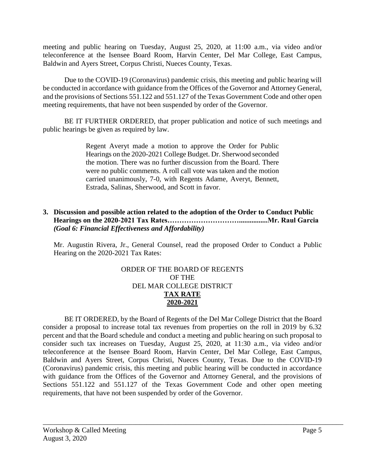meeting and public hearing on Tuesday, August 25, 2020, at 11:00 a.m., via video and/or teleconference at the Isensee Board Room, Harvin Center, Del Mar College, East Campus, Baldwin and Ayers Street, Corpus Christi, Nueces County, Texas.

 Due to the COVID-19 (Coronavirus) pandemic crisis, this meeting and public hearing will and the provisions of Sections 551.122 and 551.127 of the Texas Government Code and other open be conducted in accordance with guidance from the Offices of the Governor and Attorney General, meeting requirements, that have not been suspended by order of the Governor.

BE IT FURTHER ORDERED, that proper publication and notice of such meetings and public hearings be given as required by law.

> Regent Averyt made a motion to approve the Order for Public were no public comments. A roll call vote was taken and the motion Hearings on the 2020-2021 College Budget. Dr. Sherwood seconded the motion. There was no further discussion from the Board. There carried unanimously, 7-0, with Regents Adame, Averyt, Bennett, Estrada, Salinas, Sherwood, and Scott in favor.

# **3. Discussion and possible action related to the adoption of the Order to Conduct Public Hearings on the 2020-2021 Tax [Rates…………………………................Mr.](https://Rates����������................Mr) Raul Garcia** *(Goal 6: Financial Effectiveness and Affordability)*

 Mr. Augustin Rivera, Jr., General Counsel, read the proposed Order to Conduct a Public Hearing on the 2020-2021 Tax Rates:

# ORDER OF THE BOARD OF REGENTS OF THE DEL MAR COLLEGE DISTRICT **TAX RATE 2020-2021**

 BE IT ORDERED, by the Board of Regents of the Del Mar College District that the Board consider a proposal to increase total tax revenues from properties on the roll in 2019 by 6.32 percent and that the Board schedule and conduct a meeting and public hearing on such proposal to consider such tax increases on Tuesday, August 25, 2020, at 11:30 a.m., via video and/or (Coronavirus) pandemic crisis, this meeting and public hearing will be conducted in accordance with guidance from the Offices of the Governor and Attorney General, and the provisions of Sections 551.122 and 551.127 of the Texas Government Code and other open meeting teleconference at the Isensee Board Room, Harvin Center, Del Mar College, East Campus, Baldwin and Ayers Street, Corpus Christi, Nueces County, Texas. Due to the COVID-19 requirements, that have not been suspended by order of the Governor.